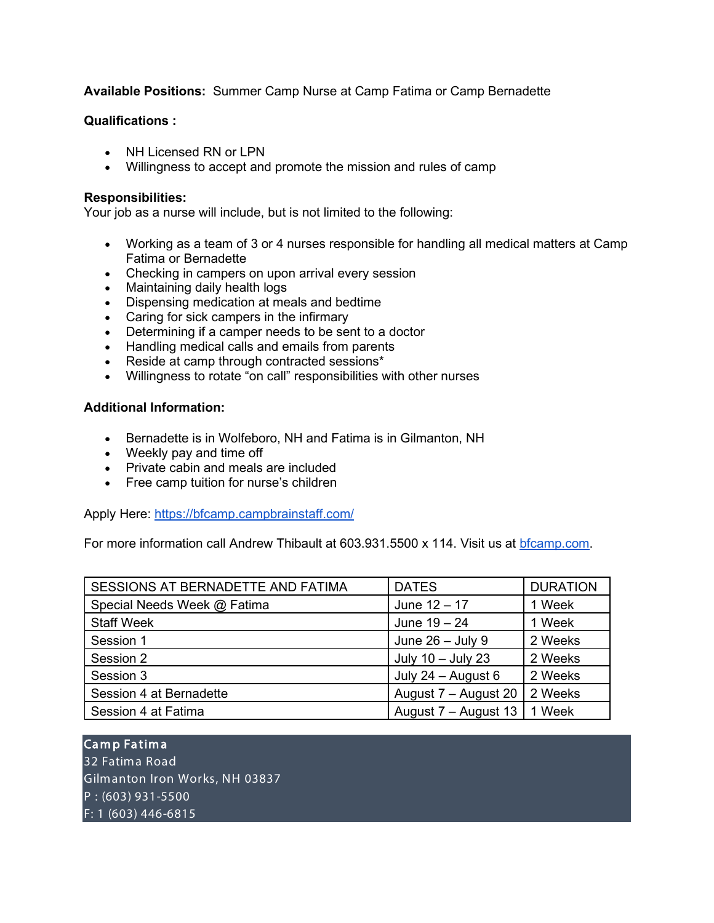**Available Positions:** Summer Camp Nurse at Camp Fatima or Camp Bernadette

## **Qualifications :**

- NH Licensed RN or LPN
- Willingness to accept and promote the mission and rules of camp

## **Responsibilities:**

Your job as a nurse will include, but is not limited to the following:

- Working as a team of 3 or 4 nurses responsible for handling all medical matters at Camp Fatima or Bernadette
- Checking in campers on upon arrival every session
- Maintaining daily health logs
- Dispensing medication at meals and bedtime
- Caring for sick campers in the infirmary
- Determining if a camper needs to be sent to a doctor
- Handling medical calls and emails from parents
- Reside at camp through contracted sessions\*
- Willingness to rotate "on call" responsibilities with other nurses

## **Additional Information:**

- Bernadette is in Wolfeboro, NH and Fatima is in Gilmanton, NH
- Weekly pay and time off
- Private cabin and meals are included
- Free camp tuition for nurse's children

Apply Here: <https://bfcamp.campbrainstaff.com/>

For more information call Andrew Thibault at 603.931.5500 x 114. Visit us at [bfcamp.com.](http://www.bfcamp.com/)

| SESSIONS AT BERNADETTE AND FATIMA | <b>DATES</b>         | <b>DURATION</b> |
|-----------------------------------|----------------------|-----------------|
| Special Needs Week @ Fatima       | June $12 - 17$       | 1 Week          |
| <b>Staff Week</b>                 | June $19 - 24$       | 1 Week          |
| Session 1                         | June $26 -$ July 9   | 2 Weeks         |
| Session 2                         | July 10 - July 23    | 2 Weeks         |
| Session 3                         | July 24 - August 6   | 2 Weeks         |
| Session 4 at Bernadette           | August 7 - August 20 | 2 Weeks         |
| Session 4 at Fatima               | August 7 - August 13 | 1 Week          |

Camp Fatima 32 Fatima Road Gilmanton Iron Works, NH 03837 P : (603) 931-5500 F: 1 (603) 446-6815